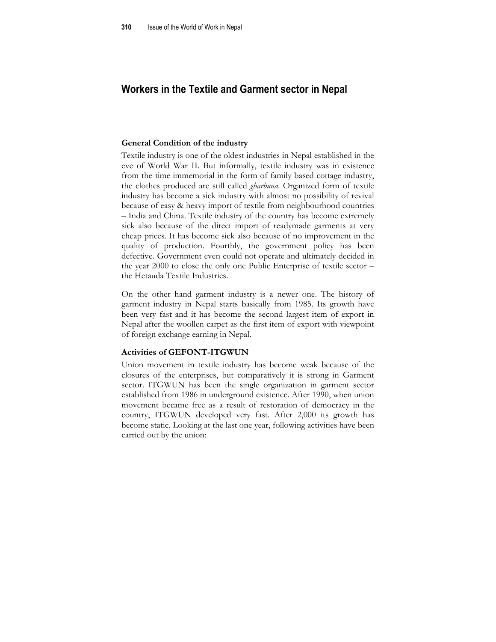# **Workers in the Textile and Garment sector in Nepal**

#### **General Condition of the industry**

Textile industry is one of the oldest industries in Nepal established in the eve of World War II. But informally, textile industry was in existence from the time immemorial in the form of family based cottage industry, the clothes produced are still called *gharbuna*. Organized form of textile industry has become a sick industry with almost no possibility of revival because of easy & heavy import of textile from neighbourhood countries – India and China. Textile industry of the country has become extremely sick also because of the direct import of readymade garments at very cheap prices. It has become sick also because of no improvement in the quality of production. Fourthly, the government policy has been defective. Government even could not operate and ultimately decided in the year 2000 to close the only one Public Enterprise of textile sector – the Hetauda Textile Industries.

On the other hand garment industry is a newer one. The history of garment industry in Nepal starts basically from 1985. Its growth have been very fast and it has become the second largest item of export in Nepal after the woollen carpet as the first item of export with viewpoint of foreign exchange earning in Nepal.

#### **Activities of GEFONT-ITGWUN**

Union movement in textile industry has become weak because of the closures of the enterprises, but comparatively it is strong in Garment sector. ITGWUN has been the single organization in garment sector established from 1986 in underground existence. After 1990, when union movement became free as a result of restoration of democracy in the country, ITGWUN developed very fast. After 2,000 its growth has become static. Looking at the last one year, following activities have been carried out by the union: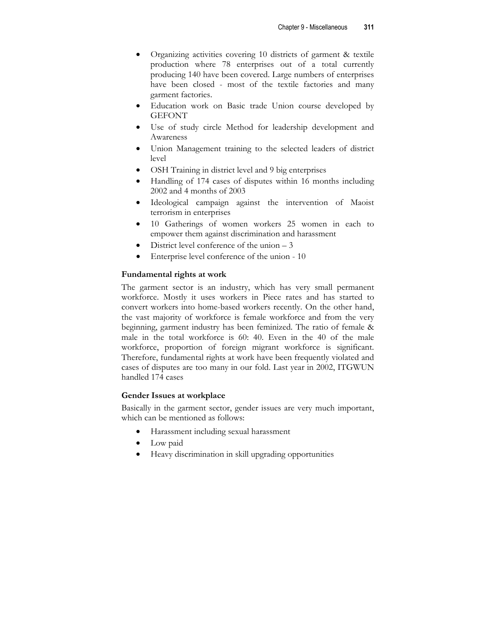- Organizing activities covering 10 districts of garment & textile production where 78 enterprises out of a total currently producing 140 have been covered. Large numbers of enterprises have been closed - most of the textile factories and many garment factories.
- Education work on Basic trade Union course developed by **GEFONT**
- Use of study circle Method for leadership development and Awareness
- Union Management training to the selected leaders of district level
- OSH Training in district level and 9 big enterprises
- Handling of 174 cases of disputes within 16 months including 2002 and 4 months of 2003
- Ideological campaign against the intervention of Maoist terrorism in enterprises
- 10 Gatherings of women workers 25 women in each to empower them against discrimination and harassment
- District level conference of the union  $-3$
- Enterprise level conference of the union 10

# **Fundamental rights at work**

The garment sector is an industry, which has very small permanent workforce. Mostly it uses workers in Piece rates and has started to convert workers into home-based workers recently. On the other hand, the vast majority of workforce is female workforce and from the very beginning, garment industry has been feminized. The ratio of female & male in the total workforce is 60: 40. Even in the 40 of the male workforce, proportion of foreign migrant workforce is significant. Therefore, fundamental rights at work have been frequently violated and cases of disputes are too many in our fold. Last year in 2002, ITGWUN handled 174 cases

## **Gender Issues at workplace**

Basically in the garment sector, gender issues are very much important, which can be mentioned as follows:

- Harassment including sexual harassment
- Low paid
- Heavy discrimination in skill upgrading opportunities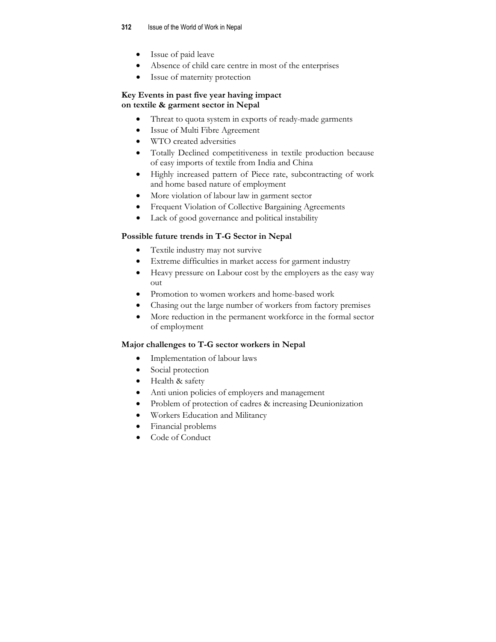- Issue of paid leave
- Absence of child care centre in most of the enterprises
- Issue of maternity protection

#### **Key Events in past five year having impact on textile & garment sector in Nepal**

- Threat to quota system in exports of ready-made garments
- Issue of Multi Fibre Agreement
- WTO created adversities
- Totally Declined competitiveness in textile production because of easy imports of textile from India and China
- Highly increased pattern of Piece rate, subcontracting of work and home based nature of employment
- More violation of labour law in garment sector
- Frequent Violation of Collective Bargaining Agreements
- Lack of good governance and political instability

## **Possible future trends in T-G Sector in Nepal**

- Textile industry may not survive
- Extreme difficulties in market access for garment industry
- Heavy pressure on Labour cost by the employers as the easy way out
- Promotion to women workers and home-based work
- Chasing out the large number of workers from factory premises
- More reduction in the permanent workforce in the formal sector of employment

## **Major challenges to T-G sector workers in Nepal**

- Implementation of labour laws
- Social protection
- Health & safety
- Anti union policies of employers and management
- Problem of protection of cadres & increasing Deunionization
- Workers Education and Militancy
- Financial problems
- Code of Conduct